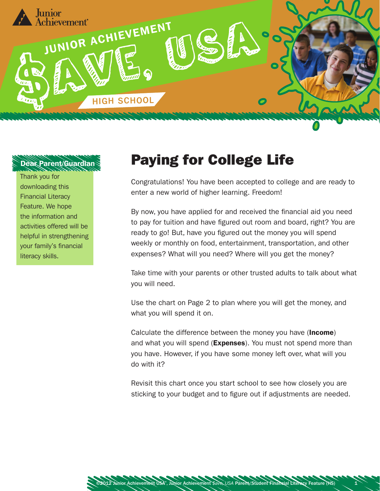

## Dear Parent/Guardian

Thank you for downloading this Financial Literacy Feature. We hope the information and activities offered will be helpful in strengthening your family's financial literacy skills.

## Paying for College Life

Congratulations! You have been accepted to college and are ready to enter a new world of higher learning. Freedom!

By now, you have applied for and received the financial aid you need to pay for tuition and have figured out room and board, right? You are ready to go! But, have you figured out the money you will spend weekly or monthly on food, entertainment, transportation, and other expenses? What will you need? Where will you get the money?

Take time with your parents or other trusted adults to talk about what you will need.

Use the chart on Page 2 to plan where you will get the money, and what you will spend it on.

Calculate the difference between the money you have (Income) and what you will spend (Expenses). You must not spend more than you have. However, if you have some money left over, what will you do with it?

Revisit this chart once you start school to see how closely you are sticking to your budget and to figure out if adjustments are needed.